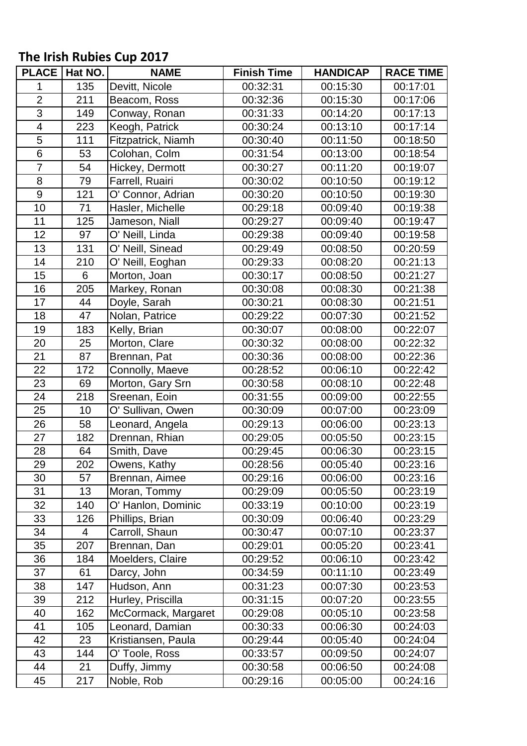## **The Irish Rubies Cup 2017**

| <b>PLACE</b>            | Hat NO. | <b>NAME</b>         | <b>Finish Time</b> | <b>HANDICAP</b> | <b>RACE TIME</b> |
|-------------------------|---------|---------------------|--------------------|-----------------|------------------|
| 1                       | 135     | Devitt, Nicole      | 00:32:31           | 00:15:30        | 00:17:01         |
| $\overline{2}$          | 211     | Beacom, Ross        | 00:32:36           | 00:15:30        | 00:17:06         |
| $\overline{3}$          | 149     | Conway, Ronan       | 00:31:33           | 00:14:20        | 00:17:13         |
| $\overline{\mathbf{4}}$ | 223     | Keogh, Patrick      | 00:30:24           | 00:13:10        | 00:17:14         |
| 5                       | 111     | Fitzpatrick, Niamh  | 00:30:40           | 00:11:50        | 00:18:50         |
| $\overline{6}$          | 53      | Colohan, Colm       | 00:31:54           | 00:13:00        | 00:18:54         |
| $\overline{7}$          | 54      | Hickey, Dermott     | 00:30:27           | 00:11:20        | 00:19:07         |
| 8                       | 79      | Farrell, Ruairi     | 00:30:02           | 00:10:50        | 00:19:12         |
| 9                       | 121     | O' Connor, Adrian   | 00:30:20           | 00:10:50        | 00:19:30         |
| 10                      | 71      | Hasler, Michelle    | 00:29:18           | 00:09:40        | 00:19:38         |
| 11                      | 125     | Jameson, Niall      | 00:29:27           | 00:09:40        | 00:19:47         |
| 12                      | 97      | O' Neill, Linda     | 00:29:38           | 00:09:40        | 00:19:58         |
| 13                      | 131     | O' Neill, Sinead    | 00:29:49           | 00:08:50        | 00:20:59         |
| 14                      | 210     | O' Neill, Eoghan    | 00:29:33           | 00:08:20        | 00:21:13         |
| 15                      | 6       | Morton, Joan        | 00:30:17           | 00:08:50        | 00:21:27         |
| 16                      | 205     | Markey, Ronan       | 00:30:08           | 00:08:30        | 00:21:38         |
| 17                      | 44      | Doyle, Sarah        | 00:30:21           | 00:08:30        | 00:21:51         |
| 18                      | 47      | Nolan, Patrice      | 00:29:22           | 00:07:30        | 00:21:52         |
| 19                      | 183     | Kelly, Brian        | 00:30:07           | 00:08:00        | 00:22:07         |
| 20                      | 25      | Morton, Clare       | 00:30:32           | 00:08:00        | 00:22:32         |
| 21                      | 87      | Brennan, Pat        | 00:30:36           | 00:08:00        | 00:22:36         |
| 22                      | 172     | Connolly, Maeve     | 00:28:52           | 00:06:10        | 00:22:42         |
| 23                      | 69      | Morton, Gary Srn    | 00:30:58           | 00:08:10        | 00:22:48         |
| 24                      | 218     | Sreenan, Eoin       | 00:31:55           | 00:09:00        | 00:22:55         |
| 25                      | 10      | O' Sullivan, Owen   | 00:30:09           | 00:07:00        | 00:23:09         |
| 26                      | 58      | Leonard, Angela     | 00:29:13           | 00:06:00        | 00:23:13         |
| 27                      | 182     | Drennan, Rhian      | 00:29:05           | 00:05:50        | 00:23:15         |
| 28                      | 64      | Smith, Dave         | 00:29:45           | 00:06:30        | 00:23:15         |
| 29                      | 202     | Owens, Kathy        | 00:28:56           | 00:05:40        | 00:23:16         |
| 30                      | 57      | Brennan, Aimee      | 00:29:16           | 00:06:00        | 00:23:16         |
| 31                      | 13      | Moran, Tommy        | 00:29:09           | 00:05:50        | 00:23:19         |
| 32                      | 140     | O' Hanlon, Dominic  | 00:33:19           | 00:10:00        | 00:23:19         |
| 33                      | 126     | Phillips, Brian     | 00:30:09           | 00:06:40        | 00:23:29         |
| 34                      | 4       | Carroll, Shaun      | 00:30:47           | 00:07:10        | 00:23:37         |
| 35                      | 207     | Brennan, Dan        | 00:29:01           | 00:05:20        | 00:23:41         |
| 36                      | 184     | Moelders, Claire    | 00:29:52           | 00:06:10        | 00:23:42         |
| 37                      | 61      | Darcy, John         | 00:34:59           | 00:11:10        | 00:23:49         |
| 38                      | 147     | Hudson, Ann         | 00:31:23           | 00:07:30        | 00:23:53         |
| 39                      | 212     | Hurley, Priscilla   | 00:31:15           | 00:07:20        | 00:23:55         |
| 40                      | 162     | McCormack, Margaret | 00:29:08           | 00:05:10        | 00:23:58         |
| 41                      | 105     | Leonard, Damian     | 00:30:33           | 00:06:30        | 00:24:03         |
| 42                      | 23      | Kristiansen, Paula  | 00:29:44           | 00:05:40        | 00:24:04         |
| 43                      | 144     | O' Toole, Ross      | 00:33:57           | 00:09:50        | 00:24:07         |
| 44                      | 21      | Duffy, Jimmy        | 00:30:58           | 00:06:50        | 00:24:08         |
| 45                      | 217     | Noble, Rob          | 00:29:16           | 00:05:00        | 00:24:16         |